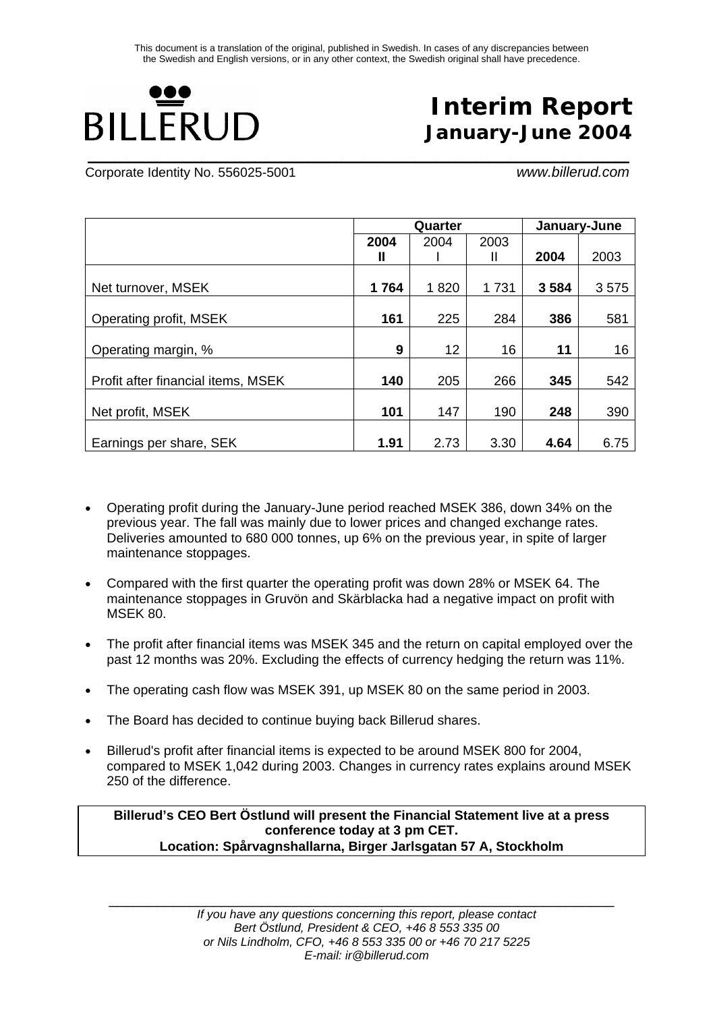# **BILLERUD \_\_\_\_\_\_\_\_\_\_\_\_\_\_\_\_\_\_\_\_\_\_\_\_\_\_\_\_\_\_\_\_\_\_\_\_\_\_\_\_\_\_\_\_\_\_\_\_\_\_\_\_\_\_\_\_\_\_\_\_\_\_\_\_\_\_\_\_\_\_\_\_\_\_\_\_\_\_\_\_\_**

## **Interim Report January-June 2004**

Corporate Identity No. 556025-5001 *www.billerud.com* 

|                                    |      | Quarter |      | January-June |      |  |
|------------------------------------|------|---------|------|--------------|------|--|
|                                    | 2004 | 2004    | 2003 |              |      |  |
|                                    | Ш    |         | Ш    | 2004         | 2003 |  |
|                                    |      |         |      |              |      |  |
| Net turnover, MSEK                 | 1764 | 1820    | 1731 | 3584         | 3575 |  |
|                                    |      |         |      |              |      |  |
| Operating profit, MSEK             | 161  | 225     | 284  | 386          | 581  |  |
|                                    |      |         |      |              |      |  |
| Operating margin, %                | 9    | 12      | 16   | 11           | 16   |  |
|                                    |      |         |      |              |      |  |
| Profit after financial items, MSEK | 140  | 205     | 266  | 345          | 542  |  |
|                                    |      |         |      |              |      |  |
| Net profit, MSEK                   | 101  | 147     | 190  | 248          | 390  |  |
|                                    |      |         |      |              |      |  |
| Earnings per share, SEK            | 1.91 | 2.73    | 3.30 | 4.64         | 6.75 |  |

- Operating profit during the January-June period reached MSEK 386, down 34% on the previous year. The fall was mainly due to lower prices and changed exchange rates. Deliveries amounted to 680 000 tonnes, up 6% on the previous year, in spite of larger maintenance stoppages.
- Compared with the first quarter the operating profit was down 28% or MSEK 64. The maintenance stoppages in Gruvön and Skärblacka had a negative impact on profit with MSEK 80.
- The profit after financial items was MSEK 345 and the return on capital employed over the past 12 months was 20%. Excluding the effects of currency hedging the return was 11%.
- The operating cash flow was MSEK 391, up MSEK 80 on the same period in 2003.
- The Board has decided to continue buying back Billerud shares.
- Billerud's profit after financial items is expected to be around MSEK 800 for 2004, compared to MSEK 1,042 during 2003. Changes in currency rates explains around MSEK 250 of the difference.

**Billerud's CEO Bert Östlund will present the Financial Statement live at a press conference today at 3 pm CET. Location: Spårvagnshallarna, Birger Jarlsgatan 57 A, Stockholm**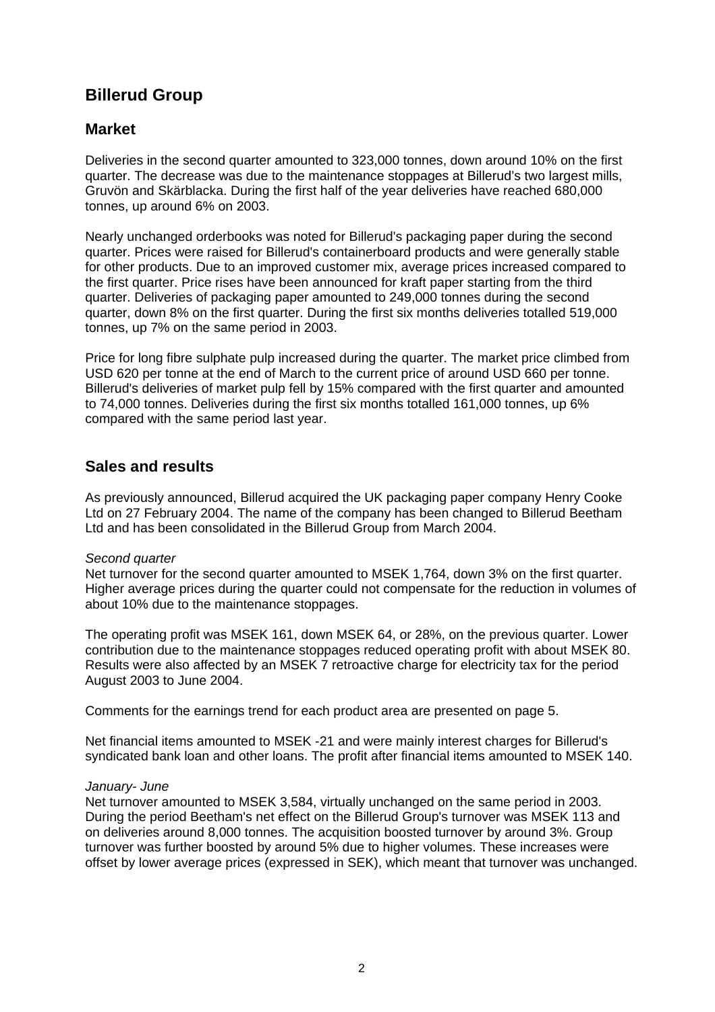## **Billerud Group**

## **Market**

Deliveries in the second quarter amounted to 323,000 tonnes, down around 10% on the first quarter. The decrease was due to the maintenance stoppages at Billerud's two largest mills, Gruvön and Skärblacka. During the first half of the year deliveries have reached 680,000 tonnes, up around 6% on 2003.

Nearly unchanged orderbooks was noted for Billerud's packaging paper during the second quarter. Prices were raised for Billerud's containerboard products and were generally stable for other products. Due to an improved customer mix, average prices increased compared to the first quarter. Price rises have been announced for kraft paper starting from the third quarter. Deliveries of packaging paper amounted to 249,000 tonnes during the second quarter, down 8% on the first quarter. During the first six months deliveries totalled 519,000 tonnes, up 7% on the same period in 2003.

Price for long fibre sulphate pulp increased during the quarter. The market price climbed from USD 620 per tonne at the end of March to the current price of around USD 660 per tonne. Billerud's deliveries of market pulp fell by 15% compared with the first quarter and amounted to 74,000 tonnes. Deliveries during the first six months totalled 161,000 tonnes, up 6% compared with the same period last year.

## **Sales and results**

As previously announced, Billerud acquired the UK packaging paper company Henry Cooke Ltd on 27 February 2004. The name of the company has been changed to Billerud Beetham Ltd and has been consolidated in the Billerud Group from March 2004.

#### *Second quarter*

Net turnover for the second quarter amounted to MSEK 1,764, down 3% on the first quarter. Higher average prices during the quarter could not compensate for the reduction in volumes of about 10% due to the maintenance stoppages.

The operating profit was MSEK 161, down MSEK 64, or 28%, on the previous quarter. Lower contribution due to the maintenance stoppages reduced operating profit with about MSEK 80. Results were also affected by an MSEK 7 retroactive charge for electricity tax for the period August 2003 to June 2004.

Comments for the earnings trend for each product area are presented on page 5.

Net financial items amounted to MSEK -21 and were mainly interest charges for Billerud's syndicated bank loan and other loans. The profit after financial items amounted to MSEK 140.

#### *January- June*

Net turnover amounted to MSEK 3,584, virtually unchanged on the same period in 2003. During the period Beetham's net effect on the Billerud Group's turnover was MSEK 113 and on deliveries around 8,000 tonnes. The acquisition boosted turnover by around 3%. Group turnover was further boosted by around 5% due to higher volumes. These increases were offset by lower average prices (expressed in SEK), which meant that turnover was unchanged.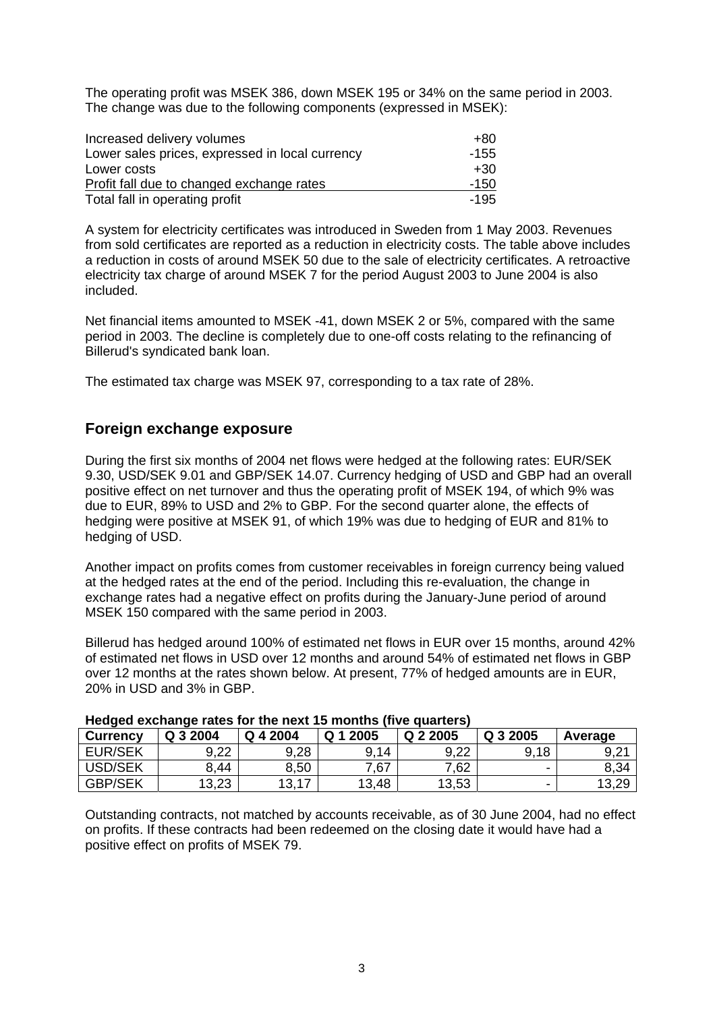The operating profit was MSEK 386, down MSEK 195 or 34% on the same period in 2003. The change was due to the following components (expressed in MSEK):

| Increased delivery volumes                      | +80    |
|-------------------------------------------------|--------|
| Lower sales prices, expressed in local currency | $-155$ |
| Lower costs                                     | $+30$  |
| Profit fall due to changed exchange rates       | -150   |
| Total fall in operating profit                  | -195   |

A system for electricity certificates was introduced in Sweden from 1 May 2003. Revenues from sold certificates are reported as a reduction in electricity costs. The table above includes a reduction in costs of around MSEK 50 due to the sale of electricity certificates. A retroactive electricity tax charge of around MSEK 7 for the period August 2003 to June 2004 is also included.

Net financial items amounted to MSEK -41, down MSEK 2 or 5%, compared with the same period in 2003. The decline is completely due to one-off costs relating to the refinancing of Billerud's syndicated bank loan.

The estimated tax charge was MSEK 97, corresponding to a tax rate of 28%.

## **Foreign exchange exposure**

During the first six months of 2004 net flows were hedged at the following rates: EUR/SEK 9.30, USD/SEK 9.01 and GBP/SEK 14.07. Currency hedging of USD and GBP had an overall positive effect on net turnover and thus the operating profit of MSEK 194, of which 9% was due to EUR, 89% to USD and 2% to GBP. For the second quarter alone, the effects of hedging were positive at MSEK 91, of which 19% was due to hedging of EUR and 81% to hedging of USD.

Another impact on profits comes from customer receivables in foreign currency being valued at the hedged rates at the end of the period. Including this re-evaluation, the change in exchange rates had a negative effect on profits during the January-June period of around MSEK 150 compared with the same period in 2003.

Billerud has hedged around 100% of estimated net flows in EUR over 15 months, around 42% of estimated net flows in USD over 12 months and around 54% of estimated net flows in GBP over 12 months at the rates shown below. At present, 77% of hedged amounts are in EUR, 20% in USD and 3% in GBP.

| <u>Heuged exchange rates for the Hext TJ Millims (HVE quarters)</u> |          |          |          |          |          |         |  |  |  |
|---------------------------------------------------------------------|----------|----------|----------|----------|----------|---------|--|--|--|
| <b>Currency</b>                                                     | Q 3 2004 | Q 4 2004 | Q 1 2005 | Q 2 2005 | Q 3 2005 | Average |  |  |  |
| <b>EUR/SEK</b>                                                      | 9.22     | 9,28     | 9.14     | 9,22     | 9,18     | 9,21    |  |  |  |
| USD/SEK                                                             | 8.44     | 8,50     | 7,67     | 7,62     | -        | 8,34    |  |  |  |
| <b>GBP/SEK</b>                                                      | 13,23    | 13,17    | 13,48    | 13,53    | -        | 13,29   |  |  |  |

#### **Hedged exchange rates for the next 15 months (five quarters)**

Outstanding contracts, not matched by accounts receivable, as of 30 June 2004, had no effect on profits. If these contracts had been redeemed on the closing date it would have had a positive effect on profits of MSEK 79.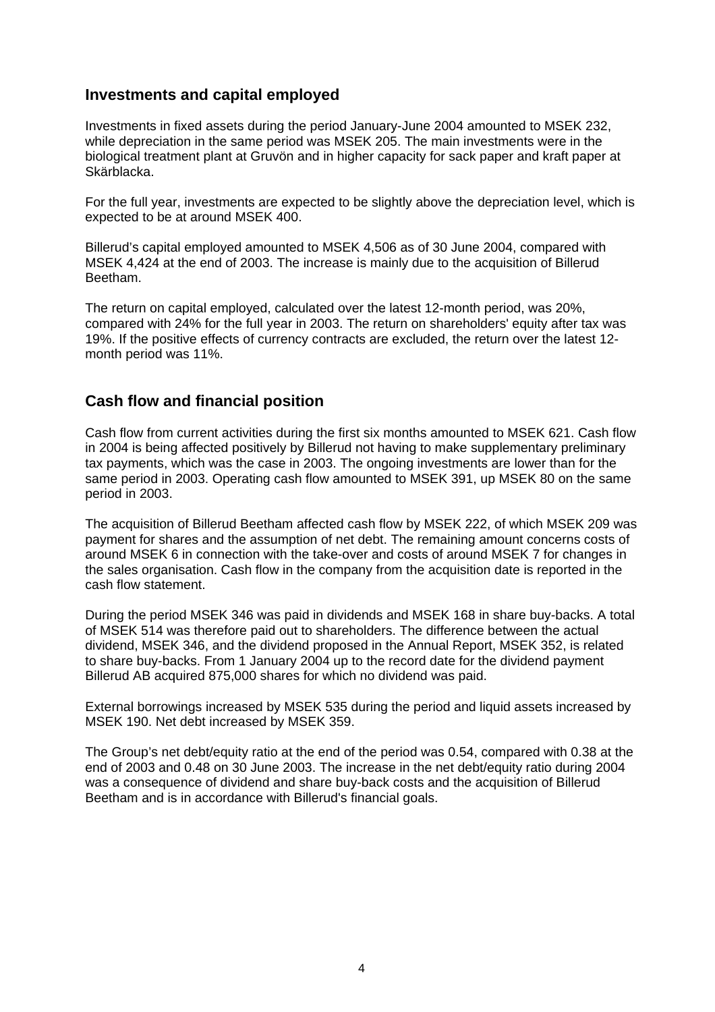## **Investments and capital employed**

Investments in fixed assets during the period January-June 2004 amounted to MSEK 232, while depreciation in the same period was MSEK 205. The main investments were in the biological treatment plant at Gruvön and in higher capacity for sack paper and kraft paper at Skärblacka.

For the full year, investments are expected to be slightly above the depreciation level, which is expected to be at around MSEK 400.

Billerud's capital employed amounted to MSEK 4,506 as of 30 June 2004, compared with MSEK 4,424 at the end of 2003. The increase is mainly due to the acquisition of Billerud Beetham.

The return on capital employed, calculated over the latest 12-month period, was 20%, compared with 24% for the full year in 2003. The return on shareholders' equity after tax was 19%. If the positive effects of currency contracts are excluded, the return over the latest 12 month period was 11%.

## **Cash flow and financial position**

Cash flow from current activities during the first six months amounted to MSEK 621. Cash flow in 2004 is being affected positively by Billerud not having to make supplementary preliminary tax payments, which was the case in 2003. The ongoing investments are lower than for the same period in 2003. Operating cash flow amounted to MSEK 391, up MSEK 80 on the same period in 2003.

The acquisition of Billerud Beetham affected cash flow by MSEK 222, of which MSEK 209 was payment for shares and the assumption of net debt. The remaining amount concerns costs of around MSEK 6 in connection with the take-over and costs of around MSEK 7 for changes in the sales organisation. Cash flow in the company from the acquisition date is reported in the cash flow statement.

During the period MSEK 346 was paid in dividends and MSEK 168 in share buy-backs. A total of MSEK 514 was therefore paid out to shareholders. The difference between the actual dividend, MSEK 346, and the dividend proposed in the Annual Report, MSEK 352, is related to share buy-backs. From 1 January 2004 up to the record date for the dividend payment Billerud AB acquired 875,000 shares for which no dividend was paid.

External borrowings increased by MSEK 535 during the period and liquid assets increased by MSEK 190. Net debt increased by MSEK 359.

The Group's net debt/equity ratio at the end of the period was 0.54, compared with 0.38 at the end of 2003 and 0.48 on 30 June 2003. The increase in the net debt/equity ratio during 2004 was a consequence of dividend and share buy-back costs and the acquisition of Billerud Beetham and is in accordance with Billerud's financial goals.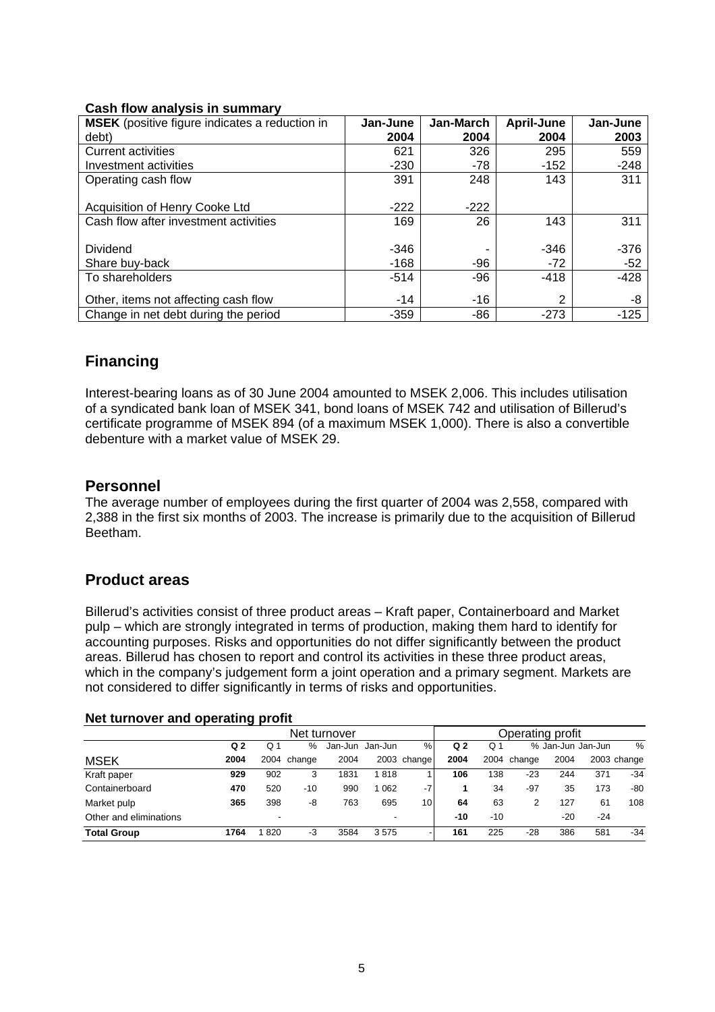#### **Cash flow analysis in summary**

| MSEK (positive figure indicates a reduction in | Jan-June | Jan-March | April-June | Jan-June |
|------------------------------------------------|----------|-----------|------------|----------|
| debt)                                          | 2004     | 2004      | 2004       | 2003     |
| <b>Current activities</b>                      | 621      | 326       | 295        | 559      |
| Investment activities                          | $-230$   | -78       | $-152$     | $-248$   |
| Operating cash flow                            | 391      | 248       | 143        | 311      |
|                                                |          |           |            |          |
| Acquisition of Henry Cooke Ltd                 | $-222$   | $-222$    |            |          |
| Cash flow after investment activities          | 169      | 26        | 143        | 311      |
|                                                |          |           |            |          |
| <b>Dividend</b>                                | $-346$   |           | $-346$     | $-376$   |
| Share buy-back                                 | $-168$   | -96       | $-72$      | -52      |
| To shareholders                                | $-514$   | $-96$     | $-418$     | $-428$   |
|                                                |          |           |            |          |
| Other, items not affecting cash flow           | $-14$    | $-16$     | 2          | -8       |
| Change in net debt during the period           | $-359$   | $-86$     | $-273$     | $-125$   |

## **Financing**

Interest-bearing loans as of 30 June 2004 amounted to MSEK 2,006. This includes utilisation of a syndicated bank loan of MSEK 341, bond loans of MSEK 742 and utilisation of Billerud's certificate programme of MSEK 894 (of a maximum MSEK 1,000). There is also a convertible debenture with a market value of MSEK 29.

#### **Personnel**

The average number of employees during the first quarter of 2004 was 2,558, compared with 2,388 in the first six months of 2003. The increase is primarily due to the acquisition of Billerud Beetham.

## **Product areas**

Billerud's activities consist of three product areas – Kraft paper, Containerboard and Market pulp – which are strongly integrated in terms of production, making them hard to identify for accounting purposes. Risks and opportunities do not differ significantly between the product areas. Billerud has chosen to report and control its activities in these three product areas, which in the company's judgement form a joint operation and a primary segment. Markets are not considered to differ significantly in terms of risks and opportunities.

#### **Net turnover and operating profit**

|                        | Net turnover   |     |             |      |                 |                 |                | Operating profit |        |                   |       |             |
|------------------------|----------------|-----|-------------|------|-----------------|-----------------|----------------|------------------|--------|-------------------|-------|-------------|
|                        | Q <sub>2</sub> | Q 1 | $\%$        |      | Jan-Jun Jan-Jun | $\%$            | Q <sub>2</sub> | Q 1              |        | % Jan-Jun Jan-Jun |       | $\%$        |
| <b>MSEK</b>            | 2004           |     | 2004 change | 2004 |                 | 2003 change     | 2004           | 2004             | change | 2004              |       | 2003 change |
| Kraft paper            | 929            | 902 | 3           | 1831 | 1818            |                 | 106            | 138              | $-23$  | 244               | 371   | $-34$       |
| Containerboard         | 470            | 520 | $-10$       | 990  | 1 0 6 2         | -7              |                | 34               | $-97$  | 35                | 173   | -80         |
| Market pulp            | 365            | 398 | -8          | 763  | 695             | 10 <sub>1</sub> | 64             | 63               | 2      | 127               | 61    | 108         |
| Other and eliminations |                |     |             |      | -               |                 | $-10$          | -10              |        | $-20$             | $-24$ |             |
| <b>Total Group</b>     | 1764           | 820 | -3          | 3584 | 3575            |                 | 161            | 225              | $-28$  | 386               | 581   | $-34$       |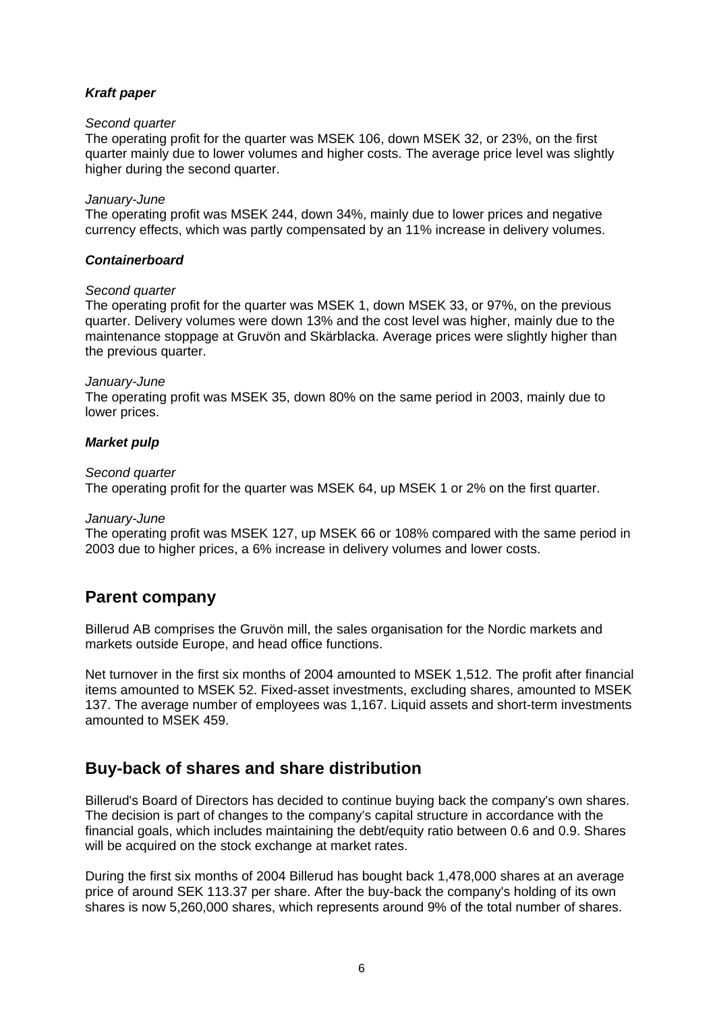#### *Kraft paper*

#### *Second quarter*

The operating profit for the quarter was MSEK 106, down MSEK 32, or 23%, on the first quarter mainly due to lower volumes and higher costs. The average price level was slightly higher during the second quarter.

#### *January-June*

The operating profit was MSEK 244, down 34%, mainly due to lower prices and negative currency effects, which was partly compensated by an 11% increase in delivery volumes.

#### *Containerboard*

#### *Second quarter*

The operating profit for the quarter was MSEK 1, down MSEK 33, or 97%, on the previous quarter. Delivery volumes were down 13% and the cost level was higher, mainly due to the maintenance stoppage at Gruvön and Skärblacka. Average prices were slightly higher than the previous quarter.

#### *January-June*

The operating profit was MSEK 35, down 80% on the same period in 2003, mainly due to lower prices.

#### *Market pulp*

#### *Second quarter*

The operating profit for the quarter was MSEK 64, up MSEK 1 or 2% on the first quarter.

#### *January-June*

The operating profit was MSEK 127, up MSEK 66 or 108% compared with the same period in 2003 due to higher prices, a 6% increase in delivery volumes and lower costs.

## **Parent company**

Billerud AB comprises the Gruvön mill, the sales organisation for the Nordic markets and markets outside Europe, and head office functions.

Net turnover in the first six months of 2004 amounted to MSEK 1,512. The profit after financial items amounted to MSEK 52. Fixed-asset investments, excluding shares, amounted to MSEK 137. The average number of employees was 1,167. Liquid assets and short-term investments amounted to MSEK 459.

## **Buy-back of shares and share distribution**

Billerud's Board of Directors has decided to continue buying back the company's own shares. The decision is part of changes to the company's capital structure in accordance with the financial goals, which includes maintaining the debt/equity ratio between 0.6 and 0.9. Shares will be acquired on the stock exchange at market rates.

During the first six months of 2004 Billerud has bought back 1,478,000 shares at an average price of around SEK 113.37 per share. After the buy-back the company's holding of its own shares is now 5,260,000 shares, which represents around 9% of the total number of shares.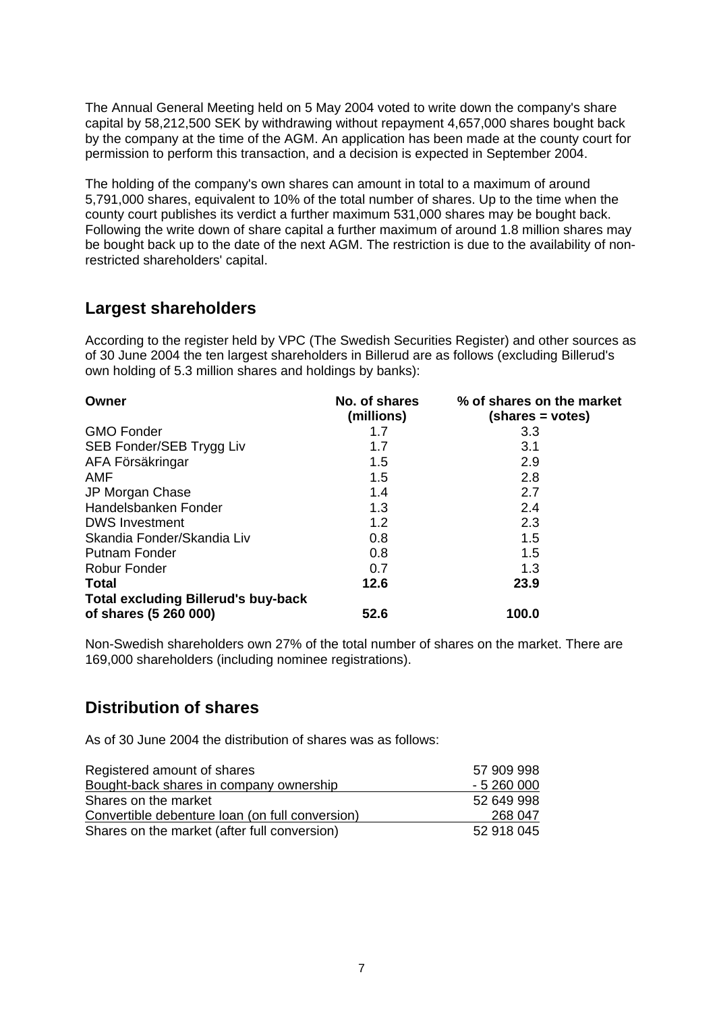The Annual General Meeting held on 5 May 2004 voted to write down the company's share capital by 58,212,500 SEK by withdrawing without repayment 4,657,000 shares bought back by the company at the time of the AGM. An application has been made at the county court for permission to perform this transaction, and a decision is expected in September 2004.

The holding of the company's own shares can amount in total to a maximum of around 5,791,000 shares, equivalent to 10% of the total number of shares. Up to the time when the county court publishes its verdict a further maximum 531,000 shares may be bought back. Following the write down of share capital a further maximum of around 1.8 million shares may be bought back up to the date of the next AGM. The restriction is due to the availability of nonrestricted shareholders' capital.

## **Largest shareholders**

According to the register held by VPC (The Swedish Securities Register) and other sources as of 30 June 2004 the ten largest shareholders in Billerud are as follows (excluding Billerud's own holding of 5.3 million shares and holdings by banks):

| Owner                                      | No. of shares<br>(millions) | % of shares on the market<br>(shares = votes) |
|--------------------------------------------|-----------------------------|-----------------------------------------------|
| <b>GMO Fonder</b>                          | 1.7                         | 3.3                                           |
| SEB Fonder/SEB Trygg Liv                   | 1.7                         | 3.1                                           |
| AFA Försäkringar                           | 1.5                         | 2.9                                           |
| AMF                                        | 1.5                         | 2.8                                           |
| JP Morgan Chase                            | 1.4                         | 2.7                                           |
| Handelsbanken Fonder                       | 1.3                         | 2.4                                           |
| <b>DWS Investment</b>                      | 1.2                         | 2.3                                           |
| Skandia Fonder/Skandia Liv                 | 0.8                         | 1.5                                           |
| <b>Putnam Fonder</b>                       | 0.8                         | 1.5                                           |
| Robur Fonder                               | 0.7                         | 1.3                                           |
| <b>Total</b>                               | 12.6                        | 23.9                                          |
| <b>Total excluding Billerud's buy-back</b> |                             |                                               |
| of shares (5 260 000)                      | 52.6                        | 100.0                                         |

Non-Swedish shareholders own 27% of the total number of shares on the market. There are 169,000 shareholders (including nominee registrations).

## **Distribution of shares**

As of 30 June 2004 the distribution of shares was as follows:

| Registered amount of shares                     | 57 909 998 |
|-------------------------------------------------|------------|
| Bought-back shares in company ownership         | $-5260000$ |
| Shares on the market                            | 52 649 998 |
| Convertible debenture loan (on full conversion) | 268 047    |
| Shares on the market (after full conversion)    | 52 918 045 |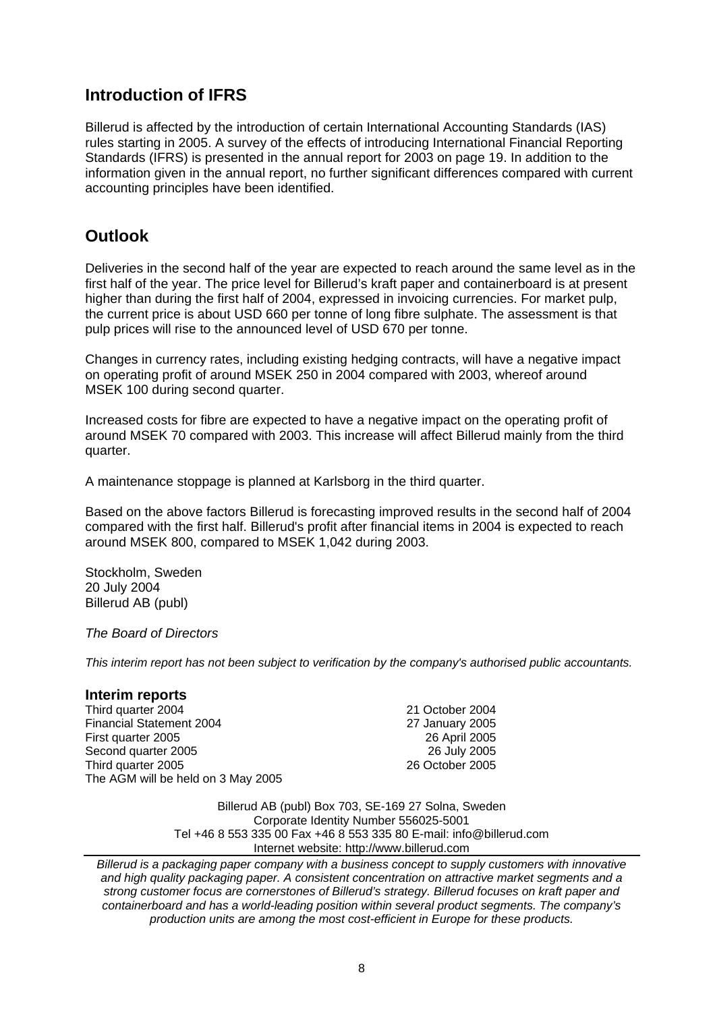## **Introduction of IFRS**

Billerud is affected by the introduction of certain International Accounting Standards (IAS) rules starting in 2005. A survey of the effects of introducing International Financial Reporting Standards (IFRS) is presented in the annual report for 2003 on page 19. In addition to the information given in the annual report, no further significant differences compared with current accounting principles have been identified.

## **Outlook**

Deliveries in the second half of the year are expected to reach around the same level as in the first half of the year. The price level for Billerud's kraft paper and containerboard is at present higher than during the first half of 2004, expressed in invoicing currencies. For market pulp, the current price is about USD 660 per tonne of long fibre sulphate. The assessment is that pulp prices will rise to the announced level of USD 670 per tonne.

Changes in currency rates, including existing hedging contracts, will have a negative impact on operating profit of around MSEK 250 in 2004 compared with 2003, whereof around MSEK 100 during second quarter.

Increased costs for fibre are expected to have a negative impact on the operating profit of around MSEK 70 compared with 2003. This increase will affect Billerud mainly from the third quarter.

A maintenance stoppage is planned at Karlsborg in the third quarter.

Based on the above factors Billerud is forecasting improved results in the second half of 2004 compared with the first half. Billerud's profit after financial items in 2004 is expected to reach around MSEK 800, compared to MSEK 1,042 during 2003.

Stockholm, Sweden 20 July 2004 Billerud AB (publ)

#### *The Board of Directors*

*This interim report has not been subject to verification by the company's authorised public accountants.* 

#### **Interim reports**

Third quarter 2004 21 October 2004 Financial Statement 2004 27 January 2005 First quarter 2005 26 April 2005 Second quarter 2005 26 July 2005 Third quarter 2005 26 October 2005 The AGM will be held on 3 May 2005

Billerud AB (publ) Box 703, SE-169 27 Solna, Sweden Corporate Identity Number 556025-5001 Tel +46 8 553 335 00 Fax +46 8 553 335 80 E-mail: info@billerud.com Internet website: http://www.billerud.com

*Billerud is a packaging paper company with a business concept to supply customers with innovative and high quality packaging paper. A consistent concentration on attractive market segments and a strong customer focus are cornerstones of Billerud's strategy. Billerud focuses on kraft paper and containerboard and has a world-leading position within several product segments. The company's production units are among the most cost-efficient in Europe for these products.*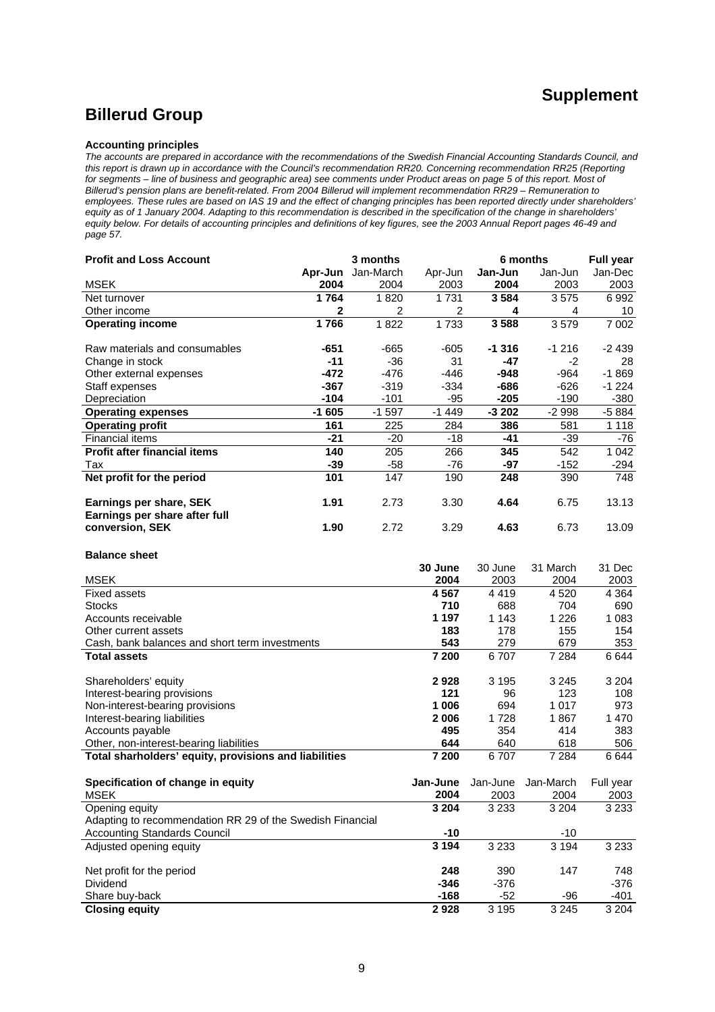## **Supplement**

## **Billerud Group**

#### **Accounting principles**

*The accounts are prepared in accordance with the recommendations of the Swedish Financial Accounting Standards Council, and this report is drawn up in accordance with the Council's recommendation RR20. Concerning recommendation RR25 (Reporting*  for segments – line of business and geographic area) see comments under Product areas on page 5 of this report. Most of *Billerud's pension plans are benefit-related. From 2004 Billerud will implement recommendation RR29 – Remuneration to employees. These rules are based on IAS 19 and the effect of changing principles has been reported directly under shareholders' equity as of 1 January 2004. Adapting to this recommendation is described in the specification of the change in shareholders' equity below. For details of accounting principles and definitions of key figures, see the 2003 Annual Report pages 46-49 and page 57.* 

| <b>Profit and Loss Account</b>                           |         | 3 months  |         | 6 months | <b>Full year</b> |         |
|----------------------------------------------------------|---------|-----------|---------|----------|------------------|---------|
|                                                          | Apr-Jun | Jan-March | Apr-Jun | Jan-Jun  | Jan-Jun          | Jan-Dec |
| <b>MSEK</b>                                              | 2004    | 2004      | 2003    | 2004     | 2003             | 2003    |
| Net turnover                                             | 1764    | 1820      | 1 731   | 3 5 8 4  | 3575             | 6992    |
| Other income                                             | 2       | 2         | 2       | 4        | 4                | 10      |
| <b>Operating income</b>                                  | 1766    | 1822      | 1733    | 3588     | 3579             | 7 0 0 2 |
| Raw materials and consumables                            | -651    | -665      | -605    | $-1316$  | $-1216$          | $-2439$ |
| Change in stock                                          | $-11$   | $-36$     | 31      | -47      | $-2$             | 28      |
| Other external expenses                                  | -472    | -476      | $-446$  | -948     | $-964$           | $-1869$ |
| Staff expenses                                           | $-367$  | $-319$    | $-334$  | -686     | -626             | $-1224$ |
| Depreciation                                             | $-104$  | $-101$    | $-95$   | $-205$   | -190             | $-380$  |
| <b>Operating expenses</b>                                | $-1605$ | $-1597$   | $-1449$ | $-3202$  | -2 998           | $-5884$ |
| <b>Operating profit</b>                                  | 161     | 225       | 284     | 386      | 581              | 1 1 1 8 |
| <b>Financial items</b>                                   | $-21$   | $-20$     | $-18$   | $-41$    | -39              | $-76$   |
| <b>Profit after financial items</b>                      | 140     | 205       | 266     | 345      | 542              | 1 0 4 2 |
| Tax                                                      | $-39$   | -58       | -76     | -97      | -152             | -294    |
| Net profit for the period                                | 101     | 147       | 190     | 248      | 390              | 748     |
| Earnings per share, SEK<br>Earnings per share after full | 1.91    | 2.73      | 3.30    | 4.64     | 6.75             | 13.13   |
| conversion, SEK                                          | 1.90    | 2.72      | 3.29    | 4.63     | 6.73             | 13.09   |

#### **Balance sheet**

|                                                           | 30 June  | 30 June  | 31 March  | 31 Dec    |
|-----------------------------------------------------------|----------|----------|-----------|-----------|
| <b>MSEK</b>                                               | 2004     | 2003     | 2004      | 2003      |
| <b>Fixed assets</b>                                       | 4567     | 4419     | 4 5 20    | 4 3 6 4   |
| <b>Stocks</b>                                             | 710      | 688      | 704       | 690       |
| Accounts receivable                                       | 1 1 9 7  | 1 1 4 3  | 1 2 2 6   | 1 0 8 3   |
| Other current assets                                      | 183      | 178      | 155       | 154       |
| Cash, bank balances and short term investments            | 543      | 279      | 679       | 353       |
| <b>Total assets</b>                                       | 7 200    | 6707     | 7 2 8 4   | 6644      |
|                                                           |          |          |           |           |
| Shareholders' equity                                      | 2928     | 3 1 9 5  | 3 2 4 5   | 3 2 0 4   |
| Interest-bearing provisions                               | 121      | 96       | 123       | 108       |
| Non-interest-bearing provisions                           | 1 006    | 694      | 1 0 1 7   | 973       |
| Interest-bearing liabilities                              | 2006     | 1728     | 1867      | 1470      |
| Accounts payable                                          | 495      | 354      | 414       | 383       |
| Other, non-interest-bearing liabilities                   | 644      | 640      | 618       | 506       |
| Total sharholders' equity, provisions and liabilities     | 7 200    | 6707     | 7 2 8 4   | 6644      |
|                                                           |          |          |           |           |
| Specification of change in equity                         | Jan-June | Jan-June | Jan-March | Full year |
| <b>MSEK</b>                                               | 2004     | 2003     | 2004      | 2003      |
| Opening equity                                            | 3 2 0 4  | 3 2 3 3  | 3 2 0 4   | 3 2 3 3   |
| Adapting to recommendation RR 29 of the Swedish Financial |          |          |           |           |
| <b>Accounting Standards Council</b>                       | -10      |          | -10       |           |
| Adjusted opening equity                                   | 3 1 9 4  | 3 2 3 3  | 3 1 9 4   | 3 2 3 3   |
| Net profit for the period                                 | 248      | 390      | 147       | 748       |
| Dividend                                                  | $-346$   | $-376$   |           | $-376$    |
| Share buy-back                                            | $-168$   | $-52$    | -96       | $-401$    |
| <b>Closing equity</b>                                     | 2928     | 3 1 9 5  | 3 2 4 5   | 3 2 0 4   |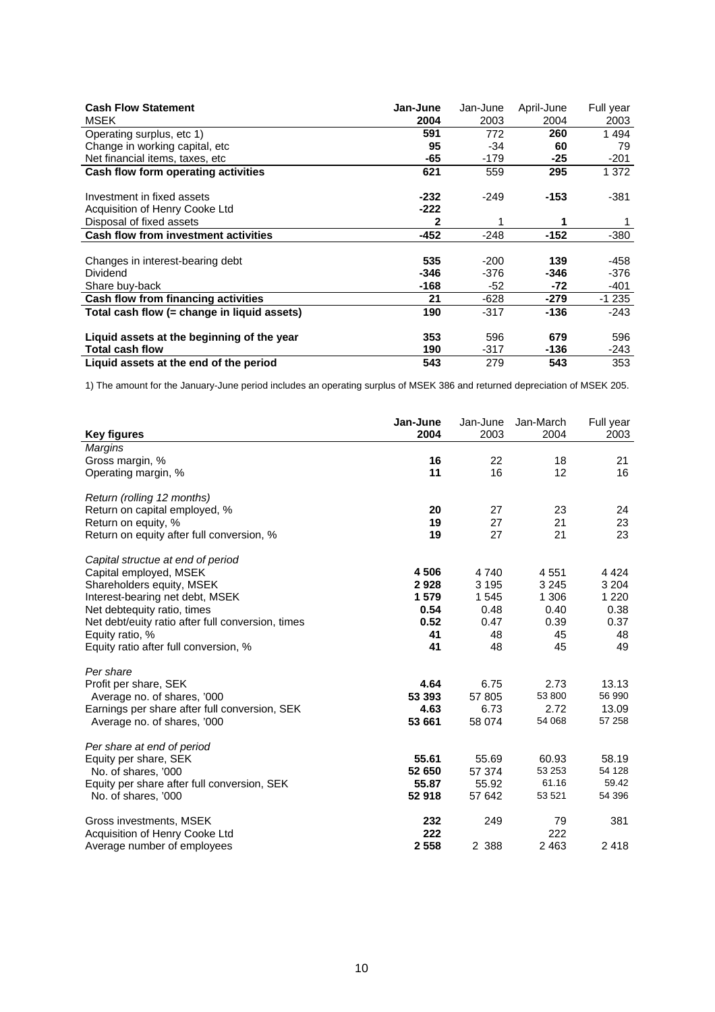| <b>Cash Flow Statement</b><br>MSEK                         | Jan-June<br>2004 | Jan-June<br>2003 | April-June<br>2004 | Full year<br>2003 |
|------------------------------------------------------------|------------------|------------------|--------------------|-------------------|
| Operating surplus, etc 1)                                  | 591              | 772              | 260                | 1494              |
| Change in working capital, etc.                            | 95               | -34              | 60                 | 79                |
| Net financial items, taxes, etc.                           | -65              | -179             | $-25$              | $-201$            |
| Cash flow form operating activities                        | 621              | 559              | 295                | 1 372             |
| Investment in fixed assets                                 | -232             | $-249$           | -153               | -381              |
| Acquisition of Henry Cooke Ltd<br>Disposal of fixed assets | -222<br>2        | 1                |                    |                   |
| <b>Cash flow from investment activities</b>                | $-452$           | $-248$           | $-152$             | $-380$            |
|                                                            |                  |                  |                    |                   |
| Changes in interest-bearing debt                           | 535              | $-200$           | 139                | -458              |
| Dividend                                                   | -346             | -376             | -346               | -376              |
| Share buy-back                                             | -168             | -52              | -72                | -401              |
| Cash flow from financing activities                        | 21               | -628             | -279               | $-1235$           |
| Total cash flow (= change in liquid assets)                | 190              | $-317$           | $-136$             | -243              |
| Liquid assets at the beginning of the year                 | 353              | 596              | 679                | 596               |
| <b>Total cash flow</b>                                     | 190              | -317             | -136               | -243              |
| Liquid assets at the end of the period                     | 543              | 279              | 543                | 353               |

1) The amount for the January-June period includes an operating surplus of MSEK 386 and returned depreciation of MSEK 205.

| <b>Key figures</b>                                | Jan-June<br>2004 | Jan-June<br>2003 | Jan-March<br>2004 | Full year<br>2003 |
|---------------------------------------------------|------------------|------------------|-------------------|-------------------|
| Margins                                           |                  |                  |                   |                   |
| Gross margin, %                                   | 16               | 22               | 18                | 21                |
| Operating margin, %                               | 11               | 16               | 12                | 16                |
|                                                   |                  |                  |                   |                   |
| Return (rolling 12 months)                        |                  |                  |                   |                   |
| Return on capital employed, %                     | 20               | 27               | 23                | 24                |
| Return on equity, %                               | 19               | 27               | 21                | 23                |
| Return on equity after full conversion, %         | 19               | 27               | 21                | 23                |
|                                                   |                  |                  |                   |                   |
| Capital structue at end of period                 |                  |                  |                   |                   |
| Capital employed, MSEK                            | 4 506            | 4 7 4 0          | 4551              | 4 4 2 4           |
| Shareholders equity, MSEK                         | 2928             | 3 1 9 5          | 3 2 4 5           | 3 2 0 4           |
| Interest-bearing net debt, MSEK                   | 1579             | 1 5 4 5          | 1 306             | 1 2 2 0           |
| Net debtequity ratio, times                       | 0.54             | 0.48             | 0.40              | 0.38              |
| Net debt/euity ratio after full conversion, times | 0.52             | 0.47             | 0.39              | 0.37              |
| Equity ratio, %                                   | 41               | 48               | 45                | 48                |
| Equity ratio after full conversion, %             | 41               | 48               | 45                | 49                |
|                                                   |                  |                  |                   |                   |
| Per share                                         |                  |                  |                   |                   |
| Profit per share, SEK                             | 4.64             | 6.75             | 2.73              | 13.13             |
| Average no. of shares, '000                       | 53 393           | 57 805           | 53 800            | 56 990            |
| Earnings per share after full conversion, SEK     | 4.63             | 6.73             | 2.72              | 13.09             |
| Average no. of shares, '000                       | 53 661           | 58 074           | 54 068            | 57 258            |
|                                                   |                  |                  |                   |                   |
| Per share at end of period                        |                  |                  |                   |                   |
| Equity per share, SEK                             | 55.61            | 55.69            | 60.93             | 58.19             |
| No. of shares, '000                               | 52 650           | 57 374           | 53 253            | 54 128            |
| Equity per share after full conversion, SEK       | 55.87            | 55.92            | 61.16             | 59.42             |
| No. of shares, '000                               | 52 918           | 57 642           | 53 521            | 54 396            |
|                                                   |                  |                  |                   |                   |
| Gross investments, MSEK                           | 232              | 249              | 79                | 381               |
| Acquisition of Henry Cooke Ltd                    | 222              |                  | 222               |                   |
| Average number of employees                       | 2 5 5 8          | 2 388            | 2 4 6 3           | 2418              |